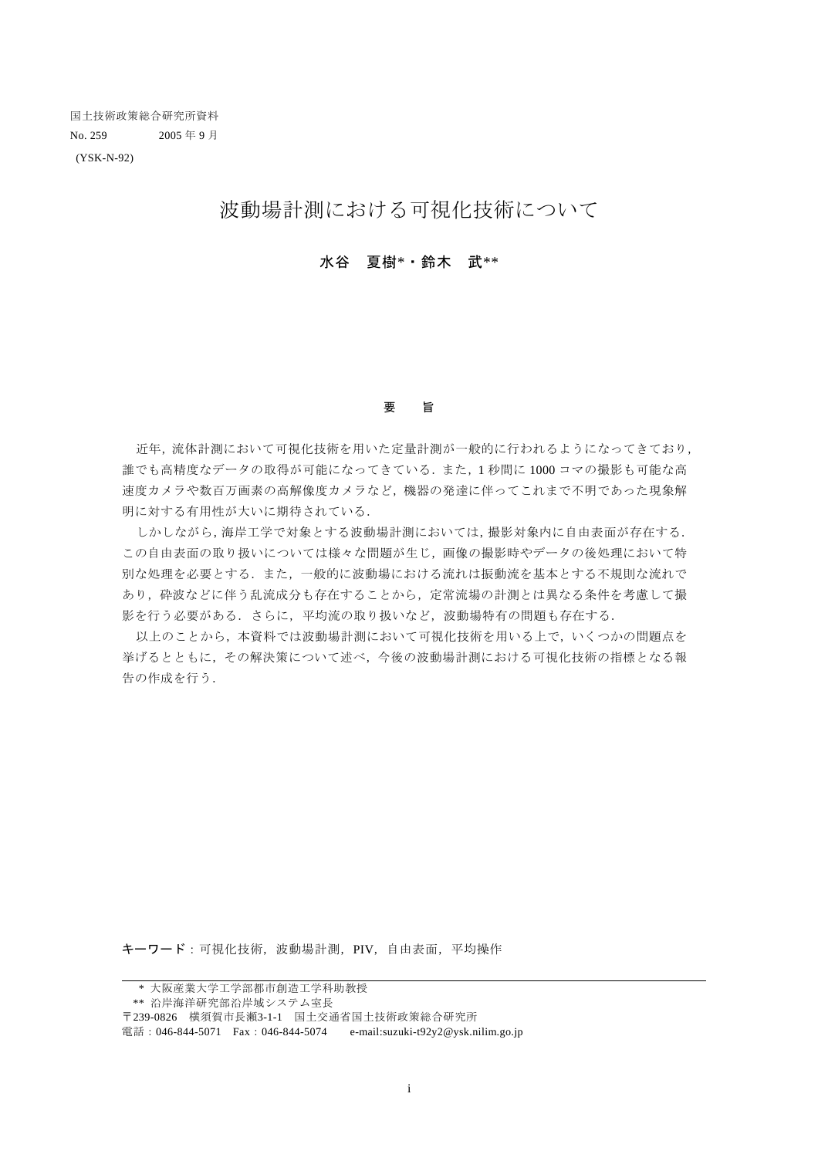(YSK-N-92)

# 波動場計測における可視化技術について

### 水谷 夏樹\*・鈴木 武\*\*

#### 要 旨

近年,流体計測において可視化技術を用いた定量計測が一般的に行われるようになってきており, 誰でも高精度なデータの取得が可能になってきている.また,1 秒間に 1000 コマの撮影も可能な高 速度カメラや数百万画素の高解像度カメラなど,機器の発達に伴ってこれまで不明であった現象解 明に対する有用性が大いに期待されている.

しかしながら,海岸工学で対象とする波動場計測においては,撮影対象内に自由表面が存在する. この自由表面の取り扱いについては様々な問題が生じ,画像の撮影時やデータの後処理において特 別な処理を必要とする.また,一般的に波動場における流れは振動流を基本とする不規則な流れで あり,砕波などに伴う乱流成分も存在することから,定常流場の計測とは異なる条件を考慮して撮 影を行う必要がある.さらに,平均流の取り扱いなど,波動場特有の問題も存在する.

以上のことから,本資料では波動場計測において可視化技術を用いる上で,いくつかの問題点を 挙げるとともに,その解決策について述べ,今後の波動場計測における可視化技術の指標となる報 告の作成を行う.

キーワード:可視化技術,波動場計測,PIV,自由表面,平均操作

電話: 046-844-5071 Fax: 046-844-5074 e-mail:suzuki-t92y2@ysk.nilim.go.jp

 <sup>\*</sup> 大阪産業大学工学部都市創造工学科助教授

 <sup>\*\*</sup> 沿岸海洋研究部沿岸域システム室長

<sup>〒</sup>239-0826 横須賀市長瀬3-1-1 国土交通省国土技術政策総合研究所